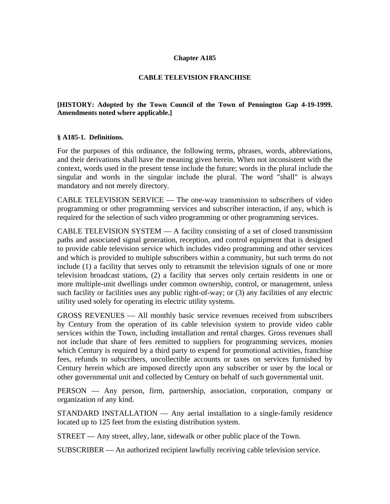#### **Chapter A185**

#### **CABLE TELEVISION FRANCHISE**

### **[HISTORY: Adopted by the Town Council of the Town of Pennington Gap 4-19-1999. Amendments noted where applicable.]**

#### **§ A185-1. Definitions.**

For the purposes of this ordinance, the following terms, phrases, words, abbreviations, and their derivations shall have the meaning given herein. When not inconsistent with the context, words used in the present tense include the future; words in the plural include the singular and words in the singular include the plural. The word "shall" is always mandatory and not merely directory.

CABLE TELEVISION SERVICE — The one-way transmission to subscribers of video programming or other programming services and subscriber interaction, if any, which is required for the selection of such video programming or other programming services.

CABLE TELEVISION SYSTEM  $- A$  facility consisting of a set of closed transmission paths and associated signal generation, reception, and control equipment that is designed to provide cable television service which includes video programming and other services and which is provided to multiple subscribers within a community, but such terms do not include (1) a facility that serves only to retransmit the television signals of one or more television broadcast stations, (2) a facility that serves only certain residents in one or more multiple-unit dwellings under common ownership, control, or management, unless such facility or facilities uses any public right-of-way; or (3) any facilities of any electric utility used solely for operating its electric utility systems.

GROSS REVENUES — All monthly basic service revenues received from subscribers by Century from the operation of its cable television system to provide video cable services within the Town, including installation and rental charges. Gross revenues shall not include that share of fees remitted to suppliers for programming services, monies which Century is required by a third party to expend for promotional activities, franchise fees, refunds to subscribers, uncollectible accounts or taxes on services furnished by Century herein which are imposed directly upon any subscriber or user by the local or other governmental unit and collected by Century on behalf of such governmental unit.

PERSON — Any person, firm, partnership, association, corporation, company or organization of any kind.

STANDARD INSTALLATION — Any aerial installation to a single-family residence located up to 125 feet from the existing distribution system.

STREET — Any street, alley, lane, sidewalk or other public place of the Town.

SUBSCRIBER — An authorized recipient lawfully receiving cable television service.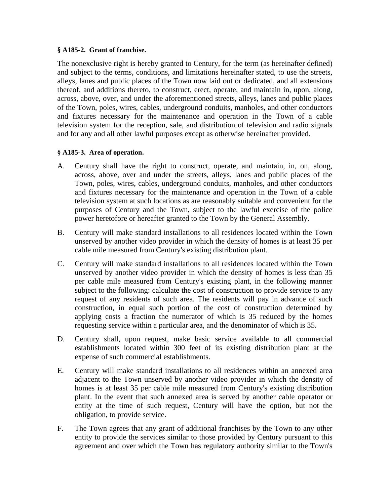#### **§ A185-2. Grant of franchise.**

The nonexclusive right is hereby granted to Century, for the term (as hereinafter defined) and subject to the terms, conditions, and limitations hereinafter stated, to use the streets, alleys, lanes and public places of the Town now laid out or dedicated, and all extensions thereof, and additions thereto, to construct, erect, operate, and maintain in, upon, along, across, above, over, and under the aforementioned streets, alleys, lanes and public places of the Town, poles, wires, cables, underground conduits, manholes, and other conductors and fixtures necessary for the maintenance and operation in the Town of a cable television system for the reception, sale, and distribution of television and radio signals and for any and all other lawful purposes except as otherwise hereinafter provided.

# **§ A185-3. Area of operation.**

- A. Century shall have the right to construct, operate, and maintain, in, on, along, across, above, over and under the streets, alleys, lanes and public places of the Town, poles, wires, cables, underground conduits, manholes, and other conductors and fixtures necessary for the maintenance and operation in the Town of a cable television system at such locations as are reasonably suitable and convenient for the purposes of Century and the Town, subject to the lawful exercise of the police power heretofore or hereafter granted to the Town by the General Assembly.
- B. Century will make standard installations to all residences located within the Town unserved by another video provider in which the density of homes is at least 35 per cable mile measured from Century's existing distribution plant.
- C. Century will make standard installations to all residences located within the Town unserved by another video provider in which the density of homes is less than 35 per cable mile measured from Century's existing plant, in the following manner subject to the following: calculate the cost of construction to provide service to any request of any residents of such area. The residents will pay in advance of such construction, in equal such portion of the cost of construction determined by applying costs a fraction the numerator of which is 35 reduced by the homes requesting service within a particular area, and the denominator of which is 35.
- D. Century shall, upon request, make basic service available to all commercial establishments located within 300 feet of its existing distribution plant at the expense of such commercial establishments.
- E. Century will make standard installations to all residences within an annexed area adjacent to the Town unserved by another video provider in which the density of homes is at least 35 per cable mile measured from Century's existing distribution plant. In the event that such annexed area is served by another cable operator or entity at the time of such request, Century will have the option, but not the obligation, to provide service.
- F. The Town agrees that any grant of additional franchises by the Town to any other entity to provide the services similar to those provided by Century pursuant to this agreement and over which the Town has regulatory authority similar to the Town's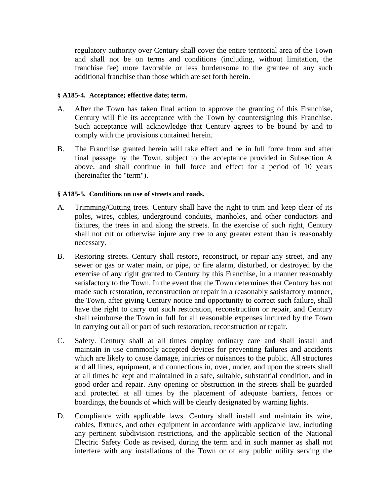regulatory authority over Century shall cover the entire territorial area of the Town and shall not be on terms and conditions (including, without limitation, the franchise fee) more favorable or less burdensome to the grantee of any such additional franchise than those which are set forth herein.

#### **§ A185-4. Acceptance; effective date; term.**

- A. After the Town has taken final action to approve the granting of this Franchise, Century will file its acceptance with the Town by countersigning this Franchise. Such acceptance will acknowledge that Century agrees to be bound by and to comply with the provisions contained herein.
- B. The Franchise granted herein will take effect and be in full force from and after final passage by the Town, subject to the acceptance provided in Subsection A above, and shall continue in full force and effect for a period of 10 years (hereinafter the "term").

# **§ A185-5. Conditions on use of streets and roads.**

- A. Trimming/Cutting trees. Century shall have the right to trim and keep clear of its poles, wires, cables, underground conduits, manholes, and other conductors and fixtures, the trees in and along the streets. In the exercise of such right, Century shall not cut or otherwise injure any tree to any greater extent than is reasonably necessary.
- B. Restoring streets. Century shall restore, reconstruct, or repair any street, and any sewer or gas or water main, or pipe, or fire alarm, disturbed, or destroyed by the exercise of any right granted to Century by this Franchise, in a manner reasonably satisfactory to the Town. In the event that the Town determines that Century has not made such restoration, reconstruction or repair in a reasonably satisfactory manner, the Town, after giving Century notice and opportunity to correct such failure, shall have the right to carry out such restoration, reconstruction or repair, and Century shall reimburse the Town in full for all reasonable expenses incurred by the Town in carrying out all or part of such restoration, reconstruction or repair.
- C. Safety. Century shall at all times employ ordinary care and shall install and maintain in use commonly accepted devices for preventing failures and accidents which are likely to cause damage, injuries or nuisances to the public. All structures and all lines, equipment, and connections in, over, under, and upon the streets shall at all times be kept and maintained in a safe, suitable, substantial condition, and in good order and repair. Any opening or obstruction in the streets shall be guarded and protected at all times by the placement of adequate barriers, fences or boardings, the bounds of which will be clearly designated by warning lights.
- D. Compliance with applicable laws. Century shall install and maintain its wire, cables, fixtures, and other equipment in accordance with applicable law, including any pertinent subdivision restrictions, and the applicable section of the National Electric Safety Code as revised, during the term and in such manner as shall not interfere with any installations of the Town or of any public utility serving the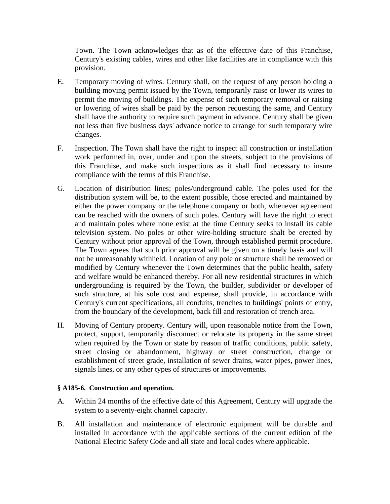Town. The Town acknowledges that as of the effective date of this Franchise, Century's existing cables, wires and other like facilities are in compliance with this provision.

- E. Temporary moving of wires. Century shall, on the request of any person holding a building moving permit issued by the Town, temporarily raise or lower its wires to permit the moving of buildings. The expense of such temporary removal or raising or lowering of wires shall be paid by the person requesting the same, and Century shall have the authority to require such payment in advance. Century shall be given not less than five business days' advance notice to arrange for such temporary wire changes.
- F. Inspection. The Town shall have the right to inspect all construction or installation work performed in, over, under and upon the streets, subject to the provisions of this Franchise, and make such inspections as it shall find necessary to insure compliance with the terms of this Franchise.
- G. Location of distribution lines; poles/underground cable. The poles used for the distribution system will be, to the extent possible, those erected and maintained by either the power company or the telephone company or both, whenever agreement can be reached with the owners of such poles. Century will have the right to erect and maintain poles where none exist at the time Century seeks to install its cable television system. No poles or other wire-holding structure shalt be erected by Century without prior approval of the Town, through established permit procedure. The Town agrees that such prior approval will be given on a timely basis and will not be unreasonably withheld. Location of any pole or structure shall be removed or modified by Century whenever the Town determines that the public health, safety and welfare would be enhanced thereby. For all new residential structures in which undergrounding is required by the Town, the builder, subdivider or developer of such structure, at his sole cost and expense, shall provide, in accordance with Century's current specifications, all conduits, trenches to buildings' points of entry, from the boundary of the development, back fill and restoration of trench area.
- H. Moving of Century property. Century will, upon reasonable notice from the Town, protect, support, temporarily disconnect or relocate its property in the same street when required by the Town or state by reason of traffic conditions, public safety, street closing or abandonment, highway or street construction, change or establishment of street grade, installation of sewer drains, water pipes, power lines, signals lines, or any other types of structures or improvements.

# **§ A185-6. Construction and operation.**

- A. Within 24 months of the effective date of this Agreement, Century will upgrade the system to a seventy-eight channel capacity.
- B. All installation and maintenance of electronic equipment will be durable and installed in accordance with the applicable sections of the current edition of the National Electric Safety Code and all state and local codes where applicable.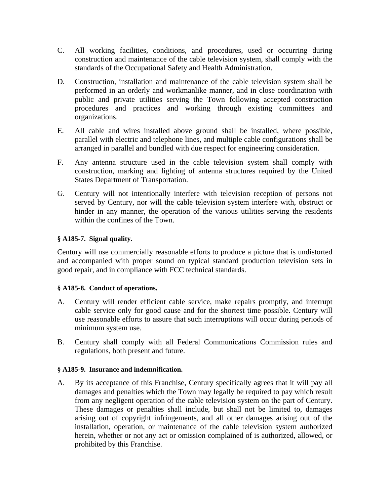- C. All working facilities, conditions, and procedures, used or occurring during construction and maintenance of the cable television system, shall comply with the standards of the Occupational Safety and Health Administration.
- D. Construction, installation and maintenance of the cable television system shall be performed in an orderly and workmanlike manner, and in close coordination with public and private utilities serving the Town following accepted construction procedures and practices and working through existing committees and organizations.
- E. All cable and wires installed above ground shall be installed, where possible, parallel with electric and telephone lines, and multiple cable configurations shall be arranged in parallel and bundled with due respect for engineering consideration.
- F. Any antenna structure used in the cable television system shall comply with construction, marking and lighting of antenna structures required by the United States Department of Transportation.
- G. Century will not intentionally interfere with television reception of persons not served by Century, nor will the cable television system interfere with, obstruct or hinder in any manner, the operation of the various utilities serving the residents within the confines of the Town.

# **§ A185-7. Signal quality.**

Century will use commercially reasonable efforts to produce a picture that is undistorted and accompanied with proper sound on typical standard production television sets in good repair, and in compliance with FCC technical standards.

# **§ A185-8. Conduct of operations.**

- A. Century will render efficient cable service, make repairs promptly, and interrupt cable service only for good cause and for the shortest time possible. Century will use reasonable efforts to assure that such interruptions will occur during periods of minimum system use.
- B. Century shall comply with all Federal Communications Commission rules and regulations, both present and future.

# **§ A185-9. Insurance and indemnification.**

A. By its acceptance of this Franchise, Century specifically agrees that it will pay all damages and penalties which the Town may legally be required to pay which result from any negligent operation of the cable television system on the part of Century. These damages or penalties shall include, but shall not be limited to, damages arising out of copyright infringements, and all other damages arising out of the installation, operation, or maintenance of the cable television system authorized herein, whether or not any act or omission complained of is authorized, allowed, or prohibited by this Franchise.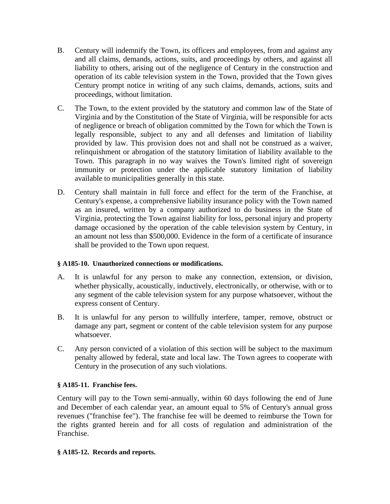- B. Century will indemnify the Town, its officers and employees, from and against any and all claims, demands, actions, suits, and proceedings by others, and against all liability to others, arising out of the negligence of Century in the construction and operation of its cable television system in the Town, provided that the Town gives Century prompt notice in writing of any such claims, demands, actions, suits and proceedings, without limitation.
- C. The Town, to the extent provided by the statutory and common law of the State of Virginia and by the Constitution of the State of Virginia, will be responsible for acts of negligence or breach of obligation committed by the Town for which the Town is legally responsible, subject to any and all defenses and limitation of liability provided by law. This provision does not and shall not be construed as a waiver, relinquishment or abrogation of the statutory limitation of liability available to the Town. This paragraph in no way waives the Town's limited right of sovereign immunity or protection under the applicable statutory limitation of liability available to municipalities generally in this state.
- D. Century shall maintain in full force and effect for the term of the Franchise, at Century's expense, a comprehensive liability insurance policy with the Town named as an insured, written by a company authorized to do business in the State of Virginia, protecting the Town against liability for loss, personal injury and property damage occasioned by the operation of the cable television system by Century, in an amount not less than \$500,000. Evidence in the form of a certificate of insurance shall be provided to the Town upon request.

# **§ A185-10. Unauthorized connections or modifications.**

- A. It is unlawful for any person to make any connection, extension, or division, whether physically, acoustically, inductively, electronically, or otherwise, with or to any segment of the cable television system for any purpose whatsoever, without the express consent of Century.
- B. It is unlawful for any person to willfully interfere, tamper, remove, obstruct or damage any part, segment or content of the cable television system for any purpose whatsoever.
- C. Any person convicted of a violation of this section will be subject to the maximum penalty allowed by federal, state and local law. The Town agrees to cooperate with Century in the prosecution of any such violations.

# **§ A185-11. Franchise fees.**

Century will pay to the Town semi-annually, within 60 days following the end of June and December of each calendar year, an amount equal to 5% of Century's annual gross revenues ("franchise fee"). The franchise fee will be deemed to reimburse the Town for the rights granted herein and for all costs of regulation and administration of the Franchise.

# **§ A185-12. Records and reports.**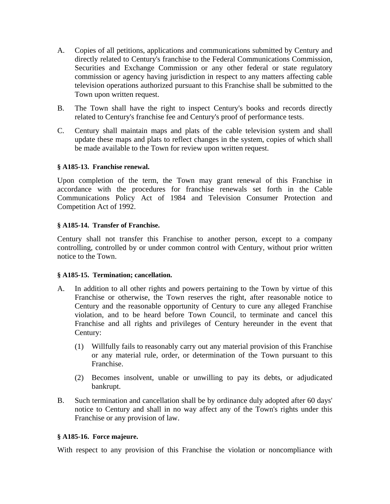- A. Copies of all petitions, applications and communications submitted by Century and directly related to Century's franchise to the Federal Communications Commission, Securities and Exchange Commission or any other federal or state regulatory commission or agency having jurisdiction in respect to any matters affecting cable television operations authorized pursuant to this Franchise shall be submitted to the Town upon written request.
- B. The Town shall have the right to inspect Century's books and records directly related to Century's franchise fee and Century's proof of performance tests.
- C. Century shall maintain maps and plats of the cable television system and shall update these maps and plats to reflect changes in the system, copies of which shall be made available to the Town for review upon written request.

# **§ A185-13. Franchise renewal.**

Upon completion of the term, the Town may grant renewal of this Franchise in accordance with the procedures for franchise renewals set forth in the Cable Communications Policy Act of 1984 and Television Consumer Protection and Competition Act of 1992.

#### **§ A185-14. Transfer of Franchise.**

Century shall not transfer this Franchise to another person, except to a company controlling, controlled by or under common control with Century, without prior written notice to the Town.

#### **§ A185-15. Termination; cancellation.**

- A. In addition to all other rights and powers pertaining to the Town by virtue of this Franchise or otherwise, the Town reserves the right, after reasonable notice to Century and the reasonable opportunity of Century to cure any alleged Franchise violation, and to be heard before Town Council, to terminate and cancel this Franchise and all rights and privileges of Century hereunder in the event that Century:
	- (1) Willfully fails to reasonably carry out any material provision of this Franchise or any material rule, order, or determination of the Town pursuant to this Franchise.
	- (2) Becomes insolvent, unable or unwilling to pay its debts, or adjudicated bankrupt.
- B. Such termination and cancellation shall be by ordinance duly adopted after 60 days' notice to Century and shall in no way affect any of the Town's rights under this Franchise or any provision of law.

#### **§ A185-16. Force majeure.**

With respect to any provision of this Franchise the violation or noncompliance with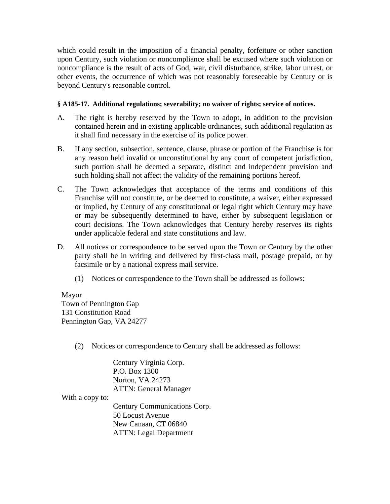which could result in the imposition of a financial penalty, forfeiture or other sanction upon Century, such violation or noncompliance shall be excused where such violation or noncompliance is the result of acts of God, war, civil disturbance, strike, labor unrest, or other events, the occurrence of which was not reasonably foreseeable by Century or is beyond Century's reasonable control.

### **§ A185-17. Additional regulations; severability; no waiver of rights; service of notices.**

- A. The right is hereby reserved by the Town to adopt, in addition to the provision contained herein and in existing applicable ordinances, such additional regulation as it shall find necessary in the exercise of its police power.
- B. If any section, subsection, sentence, clause, phrase or portion of the Franchise is for any reason held invalid or unconstitutional by any court of competent jurisdiction, such portion shall be deemed a separate, distinct and independent provision and such holding shall not affect the validity of the remaining portions hereof.
- C. The Town acknowledges that acceptance of the terms and conditions of this Franchise will not constitute, or be deemed to constitute, a waiver, either expressed or implied, by Century of any constitutional or legal right which Century may have or may be subsequently determined to have, either by subsequent legislation or court decisions. The Town acknowledges that Century hereby reserves its rights under applicable federal and state constitutions and law.
- D. All notices or correspondence to be served upon the Town or Century by the other party shall be in writing and delivered by first-class mail, postage prepaid, or by facsimile or by a national express mail service.
	- (1) Notices or correspondence to the Town shall be addressed as follows:

 Mayor Town of Pennington Gap 131 Constitution Road Pennington Gap, VA 24277

(2) Notices or correspondence to Century shall be addressed as follows:

 Century Virginia Corp. P.O. Box 1300 Norton, VA 24273 ATTN: General Manager

With a copy to:

 Century Communications Corp. 50 Locust Avenue New Canaan, CT 06840 ATTN: Legal Department